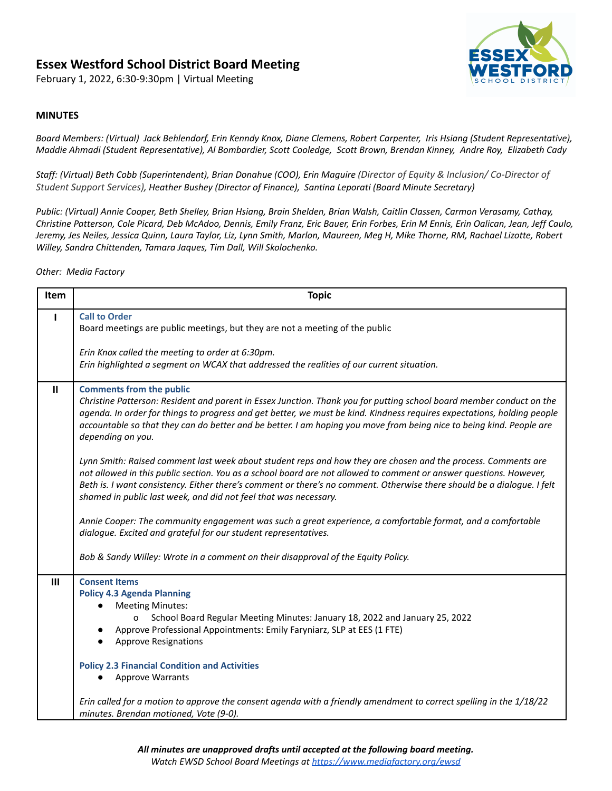# **Essex Westford School District Board Meeting**

February 1, 2022, 6:30-9:30pm | Virtual Meeting



# **MINUTES**

Board Members: (Virtual) Jack Behlendorf, Erin Kenndy Knox, Diane Clemens, Robert Carpenter, Iris Hsiang (Student Representative), Maddie Ahmadi (Student Representative), Al Bombardier, Scott Cooledge, Scott Brown, Brendan Kinney, Andre Roy, Elizabeth Cady

*Staff: (Virtual) Beth Cobb (Superintendent), Brian Donahue (COO), Erin Maguire (Director of Equity & Inclusion/ Co-Director of Student Support Services), Heather Bushey (Director of Finance), Santina Leporati (Board Minute Secretary)*

Public: (Virtual) Annie Cooper, Beth Shelley, Brian Hsiang, Brain Shelden, Brian Walsh, Caitlin Classen, Carmon Verasamy, Cathay, Christine Patterson, Cole Picard, Deb McAdoo, Dennis, Emily Franz, Eric Bauer, Erin Forbes, Erin M Ennis, Erin Oalican, Jean, Jeff Caulo, Jeremy, Jes Neiles, Jessica Quinn, Laura Taylor, Liz, Lynn Smith, Marlon, Maureen, Meg H, Mike Thorne, RM, Rachael Lizotte, Robert *Willey, Sandra Chittenden, Tamara Jaques, Tim Dall, Will Skolochenko.*

*Other: Media Factory*

| Item         | <b>Topic</b>                                                                                                                                                                                                                                                                                                                                                                                                                       |
|--------------|------------------------------------------------------------------------------------------------------------------------------------------------------------------------------------------------------------------------------------------------------------------------------------------------------------------------------------------------------------------------------------------------------------------------------------|
| п            | <b>Call to Order</b><br>Board meetings are public meetings, but they are not a meeting of the public                                                                                                                                                                                                                                                                                                                               |
|              | Erin Knox called the meeting to order at 6:30pm.<br>Erin highlighted a segment on WCAX that addressed the realities of our current situation.                                                                                                                                                                                                                                                                                      |
| $\mathbf{H}$ | <b>Comments from the public</b><br>Christine Patterson: Resident and parent in Essex Junction. Thank you for putting school board member conduct on the<br>agenda. In order for things to progress and get better, we must be kind. Kindness requires expectations, holding people<br>accountable so that they can do better and be better. I am hoping you move from being nice to being kind. People are<br>depending on you.    |
|              | Lynn Smith: Raised comment last week about student reps and how they are chosen and the process. Comments are<br>not allowed in this public section. You as a school board are not allowed to comment or answer questions. However,<br>Beth is. I want consistency. Either there's comment or there's no comment. Otherwise there should be a dialogue. I felt<br>shamed in public last week, and did not feel that was necessary. |
|              | Annie Cooper: The community engagement was such a great experience, a comfortable format, and a comfortable<br>dialogue. Excited and grateful for our student representatives.                                                                                                                                                                                                                                                     |
|              | Bob & Sandy Willey: Wrote in a comment on their disapproval of the Equity Policy.                                                                                                                                                                                                                                                                                                                                                  |
| Ш            | <b>Consent Items</b><br><b>Policy 4.3 Agenda Planning</b><br><b>Meeting Minutes:</b><br>School Board Regular Meeting Minutes: January 18, 2022 and January 25, 2022<br>0<br>Approve Professional Appointments: Emily Faryniarz, SLP at EES (1 FTE)<br><b>Approve Resignations</b>                                                                                                                                                  |
|              | <b>Policy 2.3 Financial Condition and Activities</b><br><b>Approve Warrants</b>                                                                                                                                                                                                                                                                                                                                                    |
|              | Erin called for a motion to approve the consent agenda with a friendly amendment to correct spelling in the 1/18/22<br>minutes. Brendan motioned, Vote (9-0).                                                                                                                                                                                                                                                                      |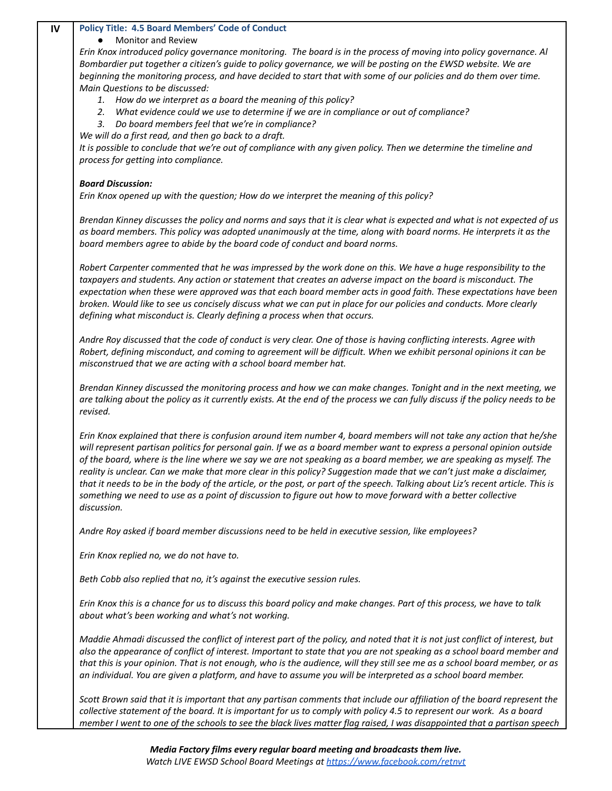## **IV Policy Title: 4.5 Board Members' Code of Conduct**

### **Monitor and Review**

Erin Knox introduced policy governance monitoring. The board is in the process of moving into policy governance. Al Bombardier put together a citizen's guide to policy governance, we will be posting on the EWSD website. We are beginning the monitoring process, and have decided to start that with some of our policies and do them over time. *Main Questions to be discussed:*

- *1. How do we interpret as a board the meaning of this policy?*
- *2. What evidence could we use to determine if we are in compliance or out of compliance?*
- *3. Do board members feel that we're in compliance?*

*We will do a first read, and then go back to a draft.*

It is possible to conclude that we're out of compliance with any given policy. Then we determine the timeline and *process for getting into compliance.*

# *Board Discussion:*

*Erin Knox opened up with the question; How do we interpret the meaning of this policy?*

Brendan Kinney discusses the policy and norms and says that it is clear what is expected and what is not expected of us as board members. This policy was adopted unanimously at the time, along with board norms. He interprets it as the *board members agree to abide by the board code of conduct and board norms.*

Robert Carpenter commented that he was impressed by the work done on this. We have a huge responsibility to the taxpayers and students. Any action or statement that creates an adverse impact on the board is misconduct. The expectation when these were approved was that each board member acts in good faith. These expectations have been broken. Would like to see us concisely discuss what we can put in place for our policies and conducts. More clearly *defining what misconduct is. Clearly defining a process when that occurs.*

Andre Roy discussed that the code of conduct is very clear. One of those is having conflicting interests. Agree with Robert, defining misconduct, and coming to agreement will be difficult. When we exhibit personal opinions it can be *misconstrued that we are acting with a school board member hat.*

Brendan Kinney discussed the monitoring process and how we can make changes. Tonight and in the next meeting, we are talking about the policy as it currently exists. At the end of the process we can fully discuss if the policy needs to be *revised.*

Erin Knox explained that there is confusion around item number 4, board members will not take any action that he/she will represent partisan politics for personal gain. If we as a board member want to express a personal opinion outside of the board, where is the line where we say we are not speaking as a board member, we are speaking as myself. The reality is unclear. Can we make that more clear in this policy? Suggestion made that we can't just make a disclaimer, that it needs to be in the body of the article, or the post, or part of the speech. Talking about Liz's recent article. This is something we need to use as a point of discussion to figure out how to move forward with a better collective *discussion.*

*Andre Roy asked if board member discussions need to be held in executive session, like employees?*

*Erin Knox replied no, we do not have to.*

*Beth Cobb also replied that no, it's against the executive session rules.*

Erin Knox this is a chance for us to discuss this board policy and make changes. Part of this process, we have to talk *about what's been working and what's not working.*

Maddie Ahmadi discussed the conflict of interest part of the policy, and noted that it is not just conflict of interest, but also the appearance of conflict of interest. Important to state that you are not speaking as a school board member and that this is your opinion. That is not enough, who is the audience, will they still see me as a school board member, or as an individual. You are given a platform, and have to assume you will be interpreted as a school board member.

Scott Brown said that it is important that any partisan comments that include our affiliation of the board represent the collective statement of the board. It is important for us to comply with policy 4.5 to represent our work. As a board member I went to one of the schools to see the black lives matter flag raised, I was disappointed that a partisan speech

> *Media Factory films every regular board meeting and broadcasts them live. Watch LIVE EWSD School Board Meetings at https://www.facebook.com/retnvt*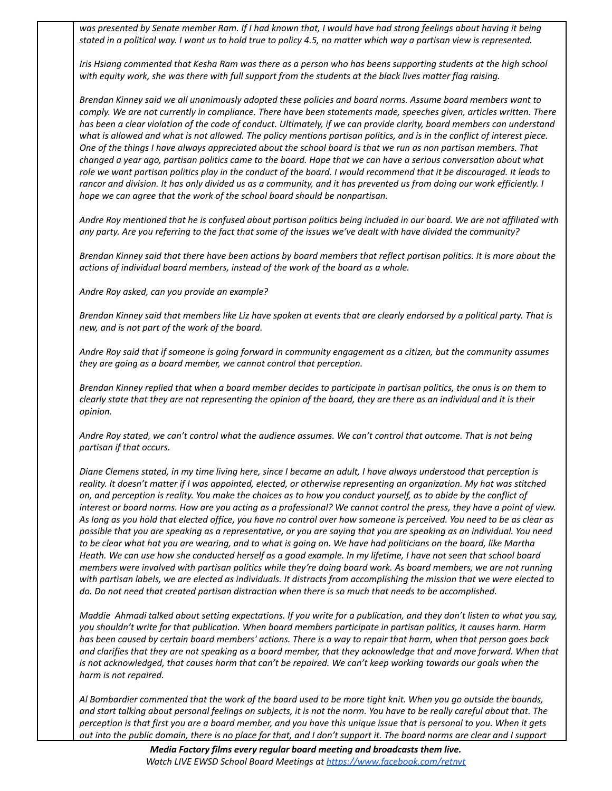was presented by Senate member Ram. If I had known that, I would have had strong feelings about having it being stated in a political way. I want us to hold true to policy 4.5, no matter which way a partisan view is represented.

Iris Hsiang commented that Kesha Ram was there as a person who has beens supporting students at the high school with equity work, she was there with full support from the students at the black lives matter flag raising.

Brendan Kinney said we all unanimously adopted these policies and board norms. Assume board members want to comply. We are not currently in compliance. There have been statements made, speeches given, articles written. There has been a clear violation of the code of conduct. Ultimately, if we can provide clarity, board members can understand what is allowed and what is not allowed. The policy mentions partisan politics, and is in the conflict of interest piece. One of the things I have always appreciated about the school board is that we run as non partisan members. That changed a year ago, partisan politics came to the board. Hope that we can have a serious conversation about what role we want partisan politics play in the conduct of the board. I would recommend that it be discouraged. It leads to rancor and division. It has only divided us as a community, and it has prevented us from doing our work efficiently. I *hope we can agree that the work of the school board should be nonpartisan.*

Andre Roy mentioned that he is confused about partisan politics being included in our board. We are not affiliated with any party. Are you referring to the fact that some of the issues we've dealt with have divided the community?

Brendan Kinney said that there have been actions by board members that reflect partisan politics. It is more about the *actions of individual board members, instead of the work of the board as a whole.*

*Andre Roy asked, can you provide an example?*

Brendan Kinney said that members like Liz have spoken at events that are clearly endorsed by a political party. That is *new, and is not part of the work of the board.*

Andre Roy said that if someone is going forward in community engagement as a citizen, but the community assumes *they are going as a board member, we cannot control that perception.*

Brendan Kinney replied that when a board member decides to participate in partisan politics, the onus is on them to clearly state that they are not representing the opinion of the board, they are there as an individual and it is their *opinion.*

Andre Roy stated, we can't control what the audience assumes. We can't control that outcome. That is not being *partisan if that occurs.*

Diane Clemens stated, in my time living here, since I became an adult, I have always understood that perception is reality. It doesn't matter if I was appointed, elected, or otherwise representing an organization. My hat was stitched on, and perception is reality. You make the choices as to how you conduct yourself, as to abide by the conflict of interest or board norms. How are you acting as a professional? We cannot control the press, they have a point of view. As long as you hold that elected office, you have no control over how someone is perceived. You need to be as clear as possible that you are speaking as a representative, or you are saying that you are speaking as an individual. You need to be clear what hat you are wearing, and to what is going on. We have had politicians on the board, like Martha Heath. We can use how she conducted herself as a good example. In my lifetime, I have not seen that school board members were involved with partisan politics while they're doing board work. As board members, we are not running with partisan labels, we are elected as individuals. It distracts from accomplishing the mission that we were elected to do. Do not need that created partisan distraction when there is so much that needs to be accomplished.

Maddie Ahmadi talked about setting expectations. If you write for a publication, and they don't listen to what you say, you shouldn't write for that publication. When board members participate in partisan politics, it causes harm. Harm has been caused by certain board members' actions. There is a way to repair that harm, when that person goes back and clarifies that they are not speaking as a board member, that they acknowledge that and move forward. When that is not acknowledged, that causes harm that can't be repaired. We can't keep working towards our goals when the *harm is not repaired.*

Al Bombardier commented that the work of the board used to be more tight knit. When you go outside the bounds, and start talking about personal feelings on subjects, it is not the norm. You have to be really careful about that. The perception is that first you are a board member, and you have this unique issue that is personal to you. When it gets out into the public domain, there is no place for that, and I don't support it. The board norms are clear and I support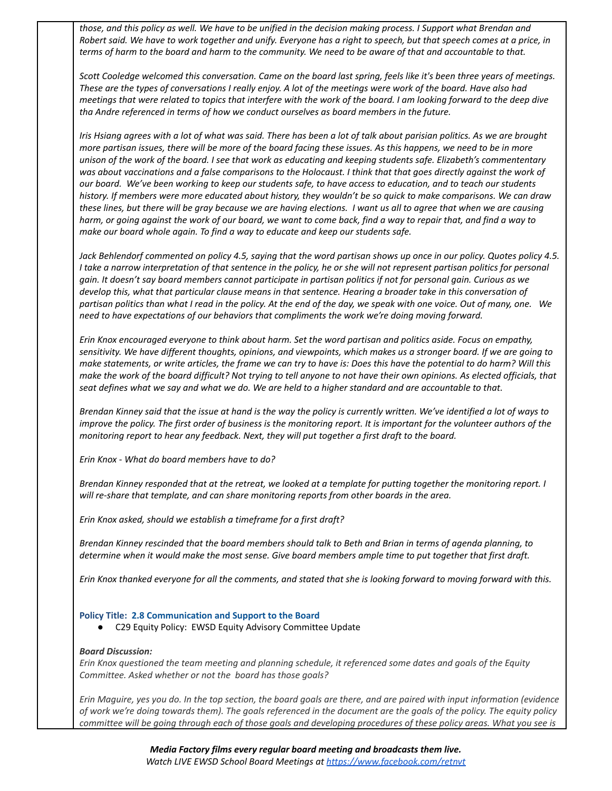those, and this policy as well. We have to be unified in the decision making process. I Support what Brendan and Robert said. We have to work together and unify. Everyone has a right to speech, but that speech comes at a price, in terms of harm to the board and harm to the community. We need to be aware of that and accountable to that.

Scott Cooledge welcomed this conversation. Came on the board last spring, feels like it's been three years of meetings. These are the types of conversations I really enjoy. A lot of the meetings were work of the board. Have also had meetings that were related to topics that interfere with the work of the board. I am looking forward to the deep dive *tha Andre referenced in terms of how we conduct ourselves as board members in the future.*

Iris Hsiang agrees with a lot of what was said. There has been a lot of talk about parisian politics. As we are brought more partisan issues, there will be more of the board facing these issues. As this happens, we need to be in more unison of the work of the board. I see that work as educating and keeping students safe. Elizabeth's commententary was about vaccinations and a false comparisons to the Holocaust. I think that that goes directly against the work of our board. We've been working to keep our students safe, to have access to education, and to teach our students history. If members were more educated about history, they wouldn't be so quick to make comparisons. We can draw these lines, but there will be gray because we are having elections. I want us all to agree that when we are causing harm, or going against the work of our board, we want to come back, find a way to repair that, and find a way to *make our board whole again. To find a way to educate and keep our students safe.*

Jack Behlendorf commented on policy 4.5, saying that the word partisan shows up once in our policy. Quotes policy 4.5. I take a narrow interpretation of that sentence in the policy, he or she will not represent partisan politics for personal gain. It doesn't say board members cannot participate in partisan politics if not for personal gain. Curious as we develop this, what that particular clause means in that sentence. Hearing a broader take in this conversation of partisan politics than what I read in the policy. At the end of the day, we speak with one voice. Out of many, one. We *need to have expectations of our behaviors that compliments the work we're doing moving forward.*

Erin Knox encouraged everyone to think about harm. Set the word partisan and politics aside. Focus on empathy, sensitivity. We have different thoughts, opinions, and viewpoints, which makes us a stronger board. If we are going to make statements, or write articles, the frame we can try to have is: Does this have the potential to do harm? Will this make the work of the board difficult? Not trying to tell anyone to not have their own opinions. As elected officials, that seat defines what we say and what we do. We are held to a higher standard and are accountable to that.

Brendan Kinney said that the issue at hand is the way the policy is currently written. We've identified a lot of ways to improve the policy. The first order of business is the monitoring report. It is important for the volunteer authors of the *monitoring report to hear any feedback. Next, they will put together a first draft to the board.*

*Erin Knox - What do board members have to do?*

Brendan Kinney responded that at the retreat, we looked at a template for putting together the monitoring report. I *will re-share that template, and can share monitoring reports from other boards in the area.*

*Erin Knox asked, should we establish a timeframe for a first draft?*

Brendan Kinney rescinded that the board members should talk to Beth and Brian in terms of agenda planning, to determine when it would make the most sense. Give board members ample time to put together that first draft.

Erin Knox thanked everyone for all the comments, and stated that she is looking forward to moving forward with this.

#### **Policy Title: 2.8 Communication and Support to the Board**

● C29 Equity Policy: EWSD Equity Advisory Committee Update

#### *Board Discussion:*

Erin Knox questioned the team meeting and planning schedule, it referenced some dates and goals of the Equity *Committee. Asked whether or not the board has those goals?*

Erin Maguire, yes you do. In the top section, the board goals are there, and are paired with input information (evidence of work we're doing towards them). The goals referenced in the document are the goals of the policy. The equity policy committee will be going through each of those goals and developing procedures of these policy areas. What you see is

> *Media Factory films every regular board meeting and broadcasts them live. Watch LIVE EWSD School Board Meetings at https://www.facebook.com/retnvt*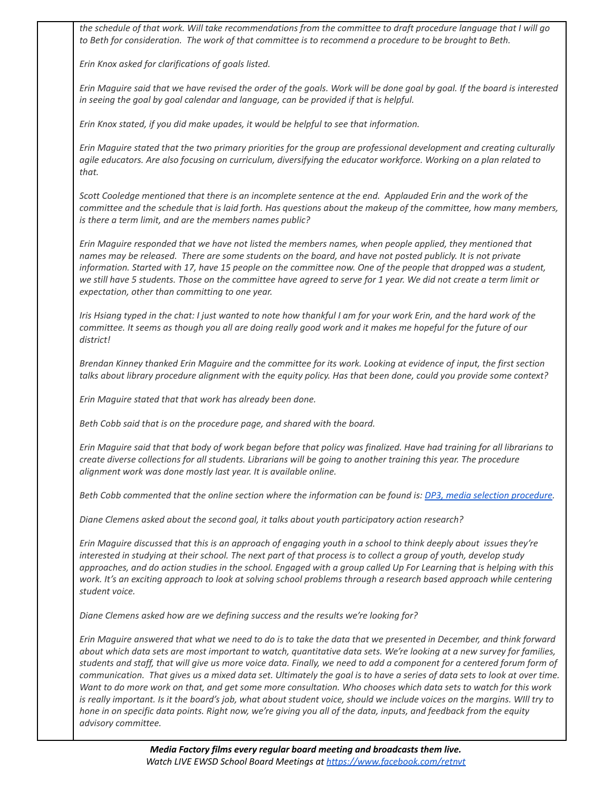the schedule of that work. Will take recommendations from the committee to draft procedure language that I will go to Beth for consideration. The work of that committee is to recommend a procedure to be brought to Beth.

*Erin Knox asked for clarifications of goals listed.*

Erin Maguire said that we have revised the order of the goals. Work will be done goal by goal. If the board is interested *in seeing the goal by goal calendar and language, can be provided if that is helpful.*

*Erin Knox stated, if you did make upades, it would be helpful to see that information.*

Erin Maguire stated that the two primary priorities for the group are professional development and creating culturally agile educators. Are also focusing on curriculum, diversifying the educator workforce. Working on a plan related to *that.*

Scott Cooledge mentioned that there is an incomplete sentence at the end. Applauded Erin and the work of the committee and the schedule that is laid forth. Has questions about the makeup of the committee, how many members, *is there a term limit, and are the members names public?*

Erin Maguire responded that we have not listed the members names, when people applied, they mentioned that names may be released. There are some students on the board, and have not posted publicly. It is not private information. Started with 17, have 15 people on the committee now. One of the people that dropped was a student, we still have 5 students. Those on the committee have agreed to serve for 1 year. We did not create a term limit or *expectation, other than committing to one year.*

Iris Hsiang typed in the chat: I just wanted to note how thankful I am for your work Erin, and the hard work of the committee. It seems as though you all are doing really good work and it makes me hopeful for the future of our *district!*

Brendan Kinney thanked Erin Maguire and the committee for its work. Looking at evidence of input, the first section talks about library procedure alignment with the equity policy. Has that been done, could you provide some context?

*Erin Maguire stated that that work has already been done.*

*Beth Cobb said that is on the procedure page, and shared with the board.*

Erin Maguire said that that body of work began before that policy was finalized. Have had training for all librarians to create diverse collections for all students. Librarians will be going to another training this year. The procedure *alignment work was done mostly last year. It is available online.*

Beth Cobb commented that the online section where the information can be found is: DP3, media selection procedure.

*Diane Clemens asked about the second goal, it talks about youth participatory action research?*

Erin Maguire discussed that this is an approach of engaging youth in a school to think deeply about issues they're interested in studying at their school. The next part of that process is to collect a group of youth, develop study approaches, and do action studies in the school. Engaged with a group called Up For Learning that is helping with this work. It's an exciting approach to look at solving school problems through a research based approach while centering *student voice.*

*Diane Clemens asked how are we defining success and the results we're looking for?*

Erin Maquire answered that what we need to do is to take the data that we presented in December, and think forward about which data sets are most important to watch, quantitative data sets. We're looking at a new survey for families, students and staff, that will give us more voice data. Finally, we need to add a component for a centered forum form of communication. That gives us a mixed data set. Ultimately the goal is to have a series of data sets to look at over time. Want to do more work on that, and get some more consultation. Who chooses which data sets to watch for this work is really important. Is it the board's job, what about student voice, should we include voices on the margins. WIll try to hone in on specific data points. Right now, we're giving you all of the data, inputs, and feedback from the equity *advisory committee.*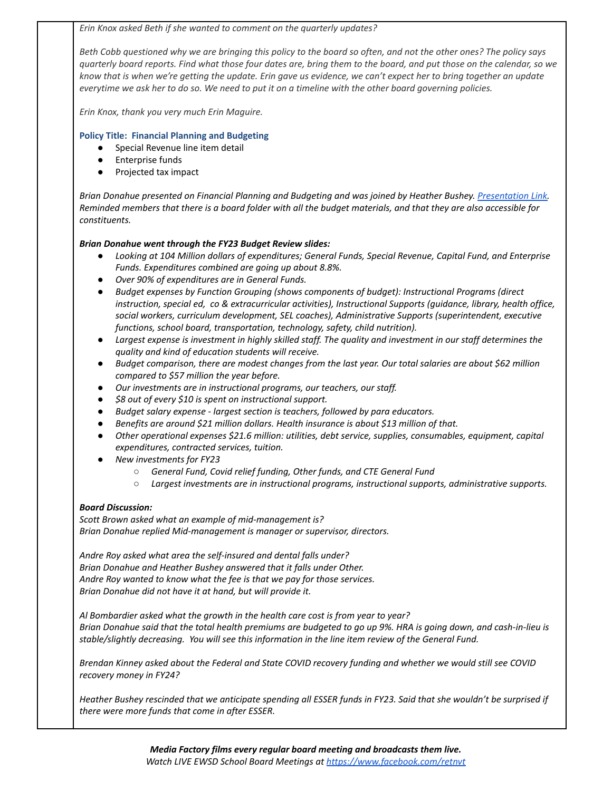*Erin Knox asked Beth if she wanted to comment on the quarterly updates?*

Beth Cobb questioned why we are bringing this policy to the board so often, and not the other ones? The policy says quarterly board reports. Find what those four dates are, bring them to the board, and put those on the calendar, so we know that is when we're getting the update. Erin gave us evidence, we can't expect her to bring together an update everytime we ask her to do so. We need to put it on a timeline with the other board governing policies.

*Erin Knox, thank you very much Erin Maguire.*

# **Policy Title: Financial Planning and Budgeting**

- Special Revenue line item detail
- Enterprise funds
- Projected tax impact

*Brian Donahue presented on Financial Planning and Budgeting and was joined by Heather Bushey. Presentation Link.* Reminded members that there is a board folder with all the budget materials, and that they are also accessible for *constituents.*

# *Brian Donahue went through the FY23 Budget Review slides:*

- *● Looking at 104 Million dollars of expenditures; General Funds, Special Revenue, Capital Fund, and Enterprise Funds. Expenditures combined are going up about 8.8%.*
- *● Over 90% of expenditures are in General Funds.*
- *● Budget expenses by Function Grouping (shows components of budget): Instructional Programs (direct instruction, special ed, co & extracurricular activities), Instructional Supports (guidance, library, health office, social workers, curriculum development, SEL coaches), Administrative Supports (superintendent, executive functions, school board, transportation, technology, safety, child nutrition).*
- Largest expense is investment in highly skilled staff. The quality and investment in our staff determines the *quality and kind of education students will receive.*
- Budget comparison, there are modest changes from the last year. Our total salaries are about \$62 million *compared to \$57 million the year before.*
- *● Our investments are in instructional programs, our teachers, our staff.*
- *● \$8 out of every \$10 is spent on instructional support.*
- *● Budget salary expense - largest section is teachers, followed by para educators.*
- *● Benefits are around \$21 million dollars. Health insurance is about \$13 million of that.*
- *● Other operational expenses \$21.6 million: utilities, debt service, supplies, consumables, equipment, capital expenditures, contracted services, tuition.*
- *● New investments for FY23*
	- *○ General Fund, Covid relief funding, Other funds, and CTE General Fund*
	- *○ Largest investments are in instructional programs, instructional supports, administrative supports.*

# *Board Discussion:*

*Scott Brown asked what an example of mid-management is? Brian Donahue replied Mid-management is manager or supervisor, directors.*

*Andre Roy asked what area the self-insured and dental falls under? Brian Donahue and Heather Bushey answered that it falls under Other. Andre Roy wanted to know what the fee is that we pay for those services. Brian Donahue did not have it at hand, but will provide it.*

*Al Bombardier asked what the growth in the health care cost is from year to year?* Brian Donahue said that the total health premiums are budgeted to go up 9%. HRA is going down, and cash-in-lieu is *stable/slightly decreasing. You will see this information in the line item review of the General Fund.*

Brendan Kinney asked about the Federal and State COVID recovery funding and whether we would still see COVID *recovery money in FY24?*

Heather Bushey rescinded that we anticipate spending all ESSER funds in FY23. Said that she wouldn't be surprised if *there were more funds that come in after ESSER.*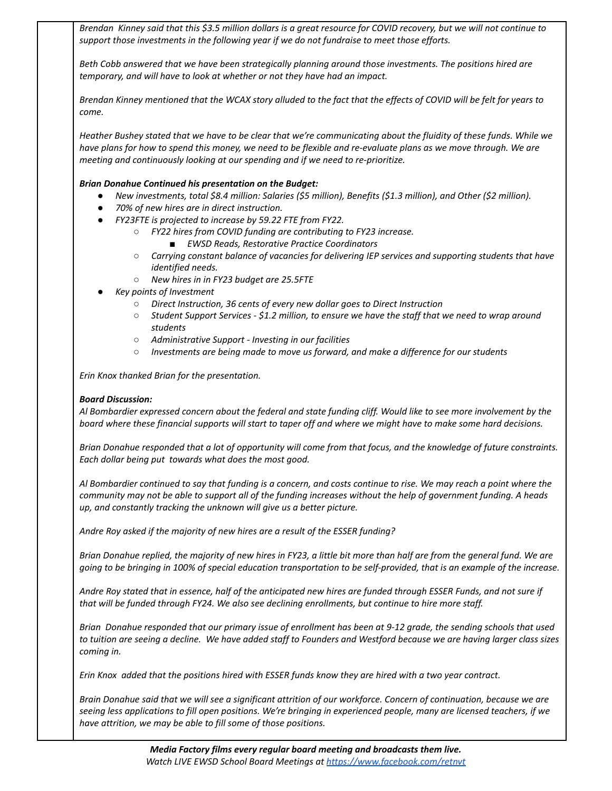Brendan Kinney said that this \$3.5 million dollars is a great resource for COVID recovery, but we will not continue to *support those investments in the following year if we do not fundraise to meet those efforts.*

*Beth Cobb answered that we have been strategically planning around those investments. The positions hired are temporary, and will have to look at whether or not they have had an impact.*

Brendan Kinney mentioned that the WCAX story alluded to the fact that the effects of COVID will be felt for years to *come.*

Heather Bushey stated that we have to be clear that we're communicating about the fluidity of these funds. While we have plans for how to spend this money, we need to be flexible and re-evaluate plans as we move through. We are *meeting and continuously looking at our spending and if we need to re-prioritize.*

# *Brian Donahue Continued his presentation on the Budget:*

- *● New investments, total \$8.4 million: Salaries (\$5 million), Benefits (\$1.3 million), and Other (\$2 million).*
- *● 70% of new hires are in direct instruction.*
- *● FY23FTE is projected to increase by 59.22 FTE from FY22.*
	- *○ FY22 hires from COVID funding are contributing to FY23 increase.*
		- *■ EWSD Reads, Restorative Practice Coordinators*
	- *○ Carrying constant balance of vacancies for delivering IEP services and supporting students that have identified needs.*
	- *○ New hires in in FY23 budget are 25.5FTE*
- *● Key points of Investment*
	- *○ Direct Instruction, 36 cents of every new dollar goes to Direct Instruction*
	- $\circ$  Student Support Services \$1.2 million, to ensure we have the staff that we need to wrap around *students*
	- *○ Administrative Support - Investing in our facilities*
	- *○ Investments are being made to move us forward, and make a difference for our students*

*Erin Knox thanked Brian for the presentation.*

## *Board Discussion:*

Al Bombardier expressed concern about the federal and state funding cliff. Would like to see more involvement by the board where these financial supports will start to taper off and where we might have to make some hard decisions.

Brian Donahue responded that a lot of opportunity will come from that focus, and the knowledge of future constraints. *Each dollar being put towards what does the most good.*

Al Bombardier continued to say that funding is a concern, and costs continue to rise. We may reach a point where the community may not be able to support all of the funding increases without the help of government funding. A heads *up, and constantly tracking the unknown will give us a better picture.*

*Andre Roy asked if the majority of new hires are a result of the ESSER funding?*

Brian Donahue replied, the majority of new hires in FY23, a little bit more than half are from the general fund. We are going to be bringing in 100% of special education transportation to be self-provided, that is an example of the increase.

Andre Roy stated that in essence, half of the anticipated new hires are funded through ESSER Funds, and not sure if *that will be funded through FY24. We also see declining enrollments, but continue to hire more staff.*

Brian Donahue responded that our primary issue of enrollment has been at 9-12 grade, the sending schools that used to tuition are seeing a decline. We have added staff to Founders and Westford because we are having larger class sizes *coming in.*

Erin Knox added that the positions hired with ESSER funds know they are hired with a two year contract.

Brain Donahue said that we will see a significant attrition of our workforce. Concern of continuation, because we are seeing less applications to fill open positions. We're bringing in experienced people, many are licensed teachers, if we *have attrition, we may be able to fill some of those positions.*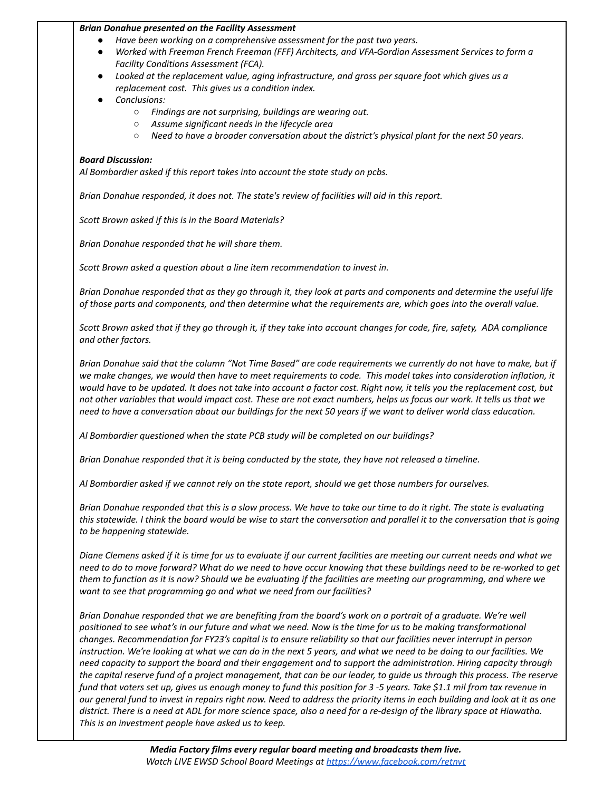### *Brian Donahue presented on the Facility Assessment*

- *● Have been working on a comprehensive assessment for the past two years.*
- *● Worked with Freeman French Freeman (FFF) Architects, and VFA-Gordian Assessment Services to form a Facility Conditions Assessment (FCA).*
- *● Looked at the replacement value, aging infrastructure, and gross per square foot which gives us a replacement cost. This gives us a condition index.*
- *● Conclusions:*
	- *○ Findings are not surprising, buildings are wearing out.*
	- *○ Assume significant needs in the lifecycle area*
	- *○ Need to have a broader conversation about the district's physical plant for the next 50 years.*

# *Board Discussion:*

*Al Bombardier asked if this report takes into account the state study on pcbs.*

*Brian Donahue responded, it does not. The state's review of facilities will aid in this report.*

*Scott Brown asked if this is in the Board Materials?*

*Brian Donahue responded that he will share them.*

*Scott Brown asked a question about a line item recommendation to invest in.*

Brian Donahue responded that as they go through it, they look at parts and components and determine the useful life of those parts and components, and then determine what the requirements are, which goes into the overall value.

Scott Brown asked that if they go through it, if they take into account changes for code, fire, safety, ADA compliance *and other factors.*

Brian Donahue said that the column "Not Time Based" are code requirements we currently do not have to make, but if we make changes, we would then have to meet requirements to code. This model takes into consideration inflation, it would have to be updated. It does not take into account a factor cost. Right now, it tells you the replacement cost, but not other variables that would impact cost. These are not exact numbers, helps us focus our work. It tells us that we need to have a conversation about our buildings for the next 50 years if we want to deliver world class education.

*Al Bombardier questioned when the state PCB study will be completed on our buildings?*

*Brian Donahue responded that it is being conducted by the state, they have not released a timeline.*

Al Bombardier asked if we cannot rely on the state report, should we get those numbers for ourselves.

Brian Donahue responded that this is a slow process. We have to take our time to do it right. The state is evaluating this statewide. I think the board would be wise to start the conversation and parallel it to the conversation that is going *to be happening statewide.*

Diane Clemens asked if it is time for us to evaluate if our current facilities are meeting our current needs and what we need to do to move forward? What do we need to have occur knowing that these buildings need to be re-worked to get them to function as it is now? Should we be evaluating if the facilities are meeting our programming, and where we *want to see that programming go and what we need from our facilities?*

Brian Donahue responded that we are benefiting from the board's work on a portrait of a graduate. We're well positioned to see what's in our future and what we need. Now is the time for us to be making transformational changes. Recommendation for FY23's capital is to ensure reliability so that our facilities never interrupt in person instruction. We're looking at what we can do in the next 5 years, and what we need to be doing to our facilities. We need capacity to support the board and their engagement and to support the administration. Hiring capacity through the capital reserve fund of a project management, that can be our leader, to guide us through this process. The reserve fund that voters set up, gives us enough money to fund this position for 3 -5 years. Take \$1.1 mil from tax revenue in our general fund to invest in repairs right now. Need to address the priority items in each building and look at it as one district. There is a need at ADL for more science space, also a need for a re-design of the library space at Hiawatha. *This is an investment people have asked us to keep.*